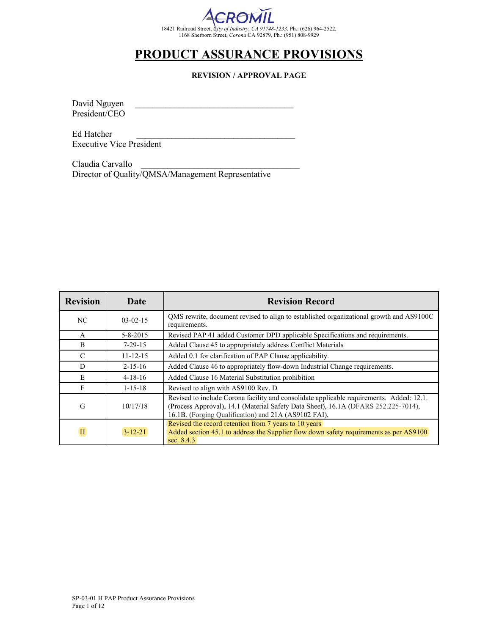

## **REVISION / APPROVAL PAGE**

David Nguyen President/CEO

Ed Hatcher Executive Vice President

Claudia Carvallo Director of Quality/QMSA/Management Representative

| <b>Revision</b>         | Date           | <b>Revision Record</b>                                                                                                                                                                                                                 |
|-------------------------|----------------|----------------------------------------------------------------------------------------------------------------------------------------------------------------------------------------------------------------------------------------|
| NC                      | $03-02-15$     | QMS rewrite, document revised to align to established organizational growth and AS9100C<br>requirements.                                                                                                                               |
| A                       | $5 - 8 - 2015$ | Revised PAP 41 added Customer DPD applicable Specifications and requirements.                                                                                                                                                          |
| B                       | $7 - 29 - 15$  | Added Clause 45 to appropriately address Conflict Materials                                                                                                                                                                            |
| $\mathcal{C}$           | $11 - 12 - 15$ | Added 0.1 for clarification of PAP Clause applicability.                                                                                                                                                                               |
| D                       | $2 - 15 - 16$  | Added Clause 46 to appropriately flow-down Industrial Change requirements.                                                                                                                                                             |
| E                       | $4 - 18 - 16$  | Added Clause 16 Material Substitution prohibition                                                                                                                                                                                      |
| F                       | $1 - 15 - 18$  | Revised to align with AS9100 Rev. D                                                                                                                                                                                                    |
| G                       | 10/17/18       | Revised to include Corona facility and consolidate applicable requirements. Added: 12.1.<br>(Process Approval), 14.1 (Material Safety Data Sheet), 16.1A (DFARS 252.225-7014),<br>16.1B. (Forging Qualification) and 21A (AS9102 FAI), |
| $\overline{\mathbf{H}}$ | $3 - 12 - 21$  | Revised the record retention from 7 years to 10 years<br>Added section 45.1 to address the Supplier flow down safety requirements as per AS9100<br>sec. $8.4.3$                                                                        |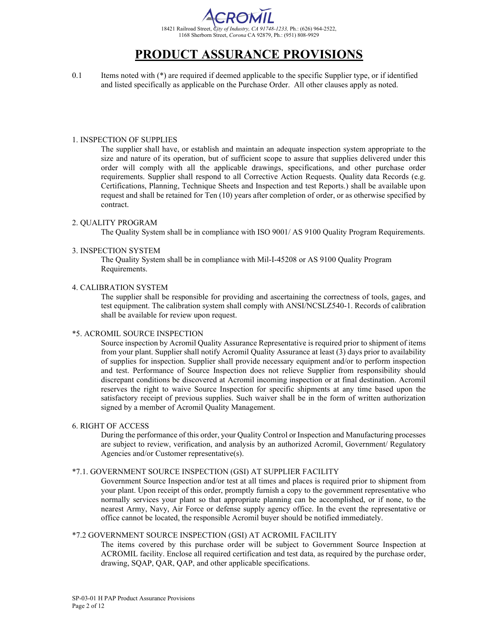

0.1 Items noted with (\*) are required if deemed applicable to the specific Supplier type, or if identified and listed specifically as applicable on the Purchase Order. All other clauses apply as noted.

### 1. INSPECTION OF SUPPLIES

The supplier shall have, or establish and maintain an adequate inspection system appropriate to the size and nature of its operation, but of sufficient scope to assure that supplies delivered under this order will comply with all the applicable drawings, specifications, and other purchase order requirements. Supplier shall respond to all Corrective Action Requests. Quality data Records (e.g. Certifications, Planning, Technique Sheets and Inspection and test Reports.) shall be available upon request and shall be retained for Ten (10) years after completion of order, or as otherwise specified by contract.

### 2. QUALITY PROGRAM

The Quality System shall be in compliance with ISO 9001/ AS 9100 Quality Program Requirements.

### 3. INSPECTION SYSTEM

The Quality System shall be in compliance with Mil-I-45208 or AS 9100 Quality Program Requirements.

### 4. CALIBRATION SYSTEM

The supplier shall be responsible for providing and ascertaining the correctness of tools, gages, and test equipment. The calibration system shall comply with ANSI/NCSLZ540-1. Records of calibration shall be available for review upon request.

### \*5. ACROMIL SOURCE INSPECTION

Source inspection by Acromil Quality Assurance Representative is required prior to shipment of items from your plant. Supplier shall notify Acromil Quality Assurance at least (3) days prior to availability of supplies for inspection. Supplier shall provide necessary equipment and/or to perform inspection and test. Performance of Source Inspection does not relieve Supplier from responsibility should discrepant conditions be discovered at Acromil incoming inspection or at final destination. Acromil reserves the right to waive Source Inspection for specific shipments at any time based upon the satisfactory receipt of previous supplies. Such waiver shall be in the form of written authorization signed by a member of Acromil Quality Management.

### 6. RIGHT OF ACCESS

During the performance of this order, your Quality Control or Inspection and Manufacturing processes are subject to review, verification, and analysis by an authorized Acromil, Government/ Regulatory Agencies and/or Customer representative(s).

## \*7.1. GOVERNMENT SOURCE INSPECTION (GSI) AT SUPPLIER FACILITY

Government Source Inspection and/or test at all times and places is required prior to shipment from your plant. Upon receipt of this order, promptly furnish a copy to the government representative who normally services your plant so that appropriate planning can be accomplished, or if none, to the nearest Army, Navy, Air Force or defense supply agency office. In the event the representative or office cannot be located, the responsible Acromil buyer should be notified immediately.

### \*7.2 GOVERNMENT SOURCE INSPECTION (GSI) AT ACROMIL FACILITY

The items covered by this purchase order will be subject to Government Source Inspection at ACROMIL facility. Enclose all required certification and test data, as required by the purchase order, drawing, SQAP, QAR, QAP, and other applicable specifications.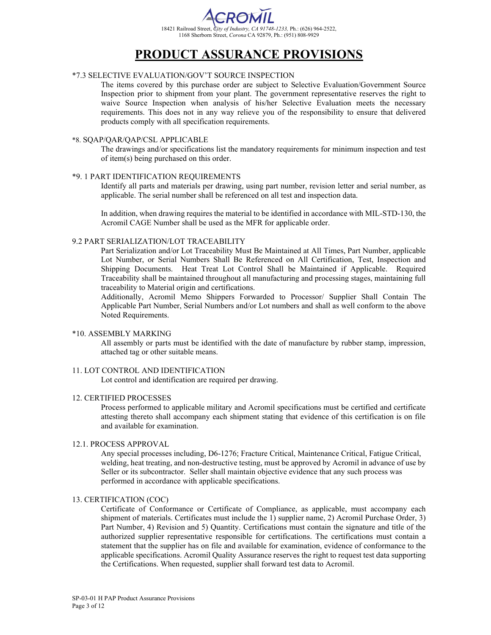

## \*7.3 SELECTIVE EVALUATION/GOV'T SOURCE INSPECTION

The items covered by this purchase order are subject to Selective Evaluation/Government Source Inspection prior to shipment from your plant. The government representative reserves the right to waive Source Inspection when analysis of his/her Selective Evaluation meets the necessary requirements. This does not in any way relieve you of the responsibility to ensure that delivered products comply with all specification requirements.

#### \*8. SQAP/QAR/QAP/CSL APPLICABLE

The drawings and/or specifications list the mandatory requirements for minimum inspection and test of item(s) being purchased on this order.

### \*9. 1 PART IDENTIFICATION REQUIREMENTS

Identify all parts and materials per drawing, using part number, revision letter and serial number, as applicable. The serial number shall be referenced on all test and inspection data.

In addition, when drawing requires the material to be identified in accordance with MIL-STD-130, the Acromil CAGE Number shall be used as the MFR for applicable order.

#### 9.2 PART SERIALIZATION/LOT TRACEABILITY

Part Serialization and/or Lot Traceability Must Be Maintained at All Times, Part Number, applicable Lot Number, or Serial Numbers Shall Be Referenced on All Certification, Test, Inspection and Shipping Documents. Heat Treat Lot Control Shall be Maintained if Applicable. Required Traceability shall be maintained throughout all manufacturing and processing stages, maintaining full traceability to Material origin and certifications.

Additionally, Acromil Memo Shippers Forwarded to Processor/ Supplier Shall Contain The Applicable Part Number, Serial Numbers and/or Lot numbers and shall as well conform to the above Noted Requirements.

### \*10. ASSEMBLY MARKING

All assembly or parts must be identified with the date of manufacture by rubber stamp, impression, attached tag or other suitable means.

### 11. LOT CONTROL AND IDENTIFICATION

Lot control and identification are required per drawing.

### 12. CERTIFIED PROCESSES

Process performed to applicable military and Acromil specifications must be certified and certificate attesting thereto shall accompany each shipment stating that evidence of this certification is on file and available for examination.

#### 12.1. PROCESS APPROVAL

Any special processes including, D6-1276; Fracture Critical, Maintenance Critical, Fatigue Critical, welding, heat treating, and non-destructive testing, must be approved by Acromil in advance of use by Seller or its subcontractor. Seller shall maintain objective evidence that any such process was performed in accordance with applicable specifications.

#### 13. CERTIFICATION (COC)

Certificate of Conformance or Certificate of Compliance, as applicable, must accompany each shipment of materials. Certificates must include the 1) supplier name, 2) Acromil Purchase Order, 3) Part Number, 4) Revision and 5) Quantity. Certifications must contain the signature and title of the authorized supplier representative responsible for certifications. The certifications must contain a statement that the supplier has on file and available for examination, evidence of conformance to the applicable specifications. Acromil Quality Assurance reserves the right to request test data supporting the Certifications. When requested, supplier shall forward test data to Acromil.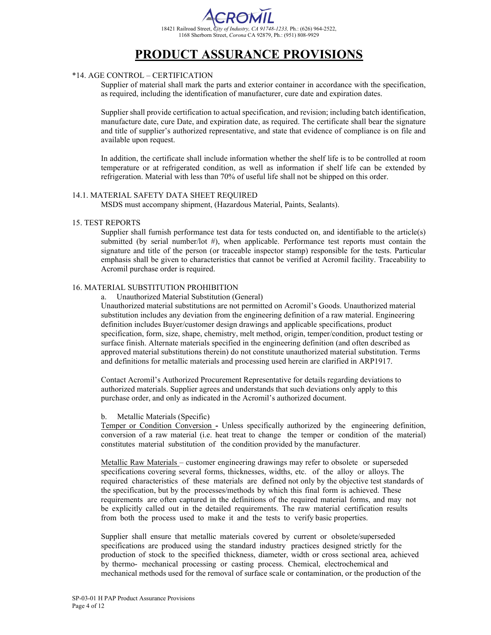

## \*14. AGE CONTROL – CERTIFICATION

Supplier of material shall mark the parts and exterior container in accordance with the specification, as required, including the identification of manufacturer, cure date and expiration dates.

Supplier shall provide certification to actual specification, and revision; including batch identification, manufacture date, cure Date, and expiration date, as required. The certificate shall bear the signature and title of supplier's authorized representative, and state that evidence of compliance is on file and available upon request.

In addition, the certificate shall include information whether the shelf life is to be controlled at room temperature or at refrigerated condition, as well as information if shelf life can be extended by refrigeration. Material with less than 70% of useful life shall not be shipped on this order.

### 14.1. MATERIAL SAFETY DATA SHEET REQUIRED

MSDS must accompany shipment, (Hazardous Material, Paints, Sealants).

### 15. TEST REPORTS

Supplier shall furnish performance test data for tests conducted on, and identifiable to the article(s) submitted (by serial number/lot  $#$ ), when applicable. Performance test reports must contain the signature and title of the person (or traceable inspector stamp) responsible for the tests. Particular emphasis shall be given to characteristics that cannot be verified at Acromil facility. Traceability to Acromil purchase order is required.

### 16. MATERIAL SUBSTITUTION PROHIBITION

a. Unauthorized Material Substitution (General)

Unauthorized material substitutions are not permitted on Acromil's Goods. Unauthorized material substitution includes any deviation from the engineering definition of a raw material. Engineering definition includes Buyer/customer design drawings and applicable specifications, product specification, form, size, shape, chemistry, melt method, origin, temper/condition, product testing or surface finish. Alternate materials specified in the engineering definition (and often described as approved material substitutions therein) do not constitute unauthorized material substitution. Terms and definitions for metallic materials and processing used herein are clarified in ARP1917.

Contact Acromil's Authorized Procurement Representative for details regarding deviations to authorized materials. Supplier agrees and understands that such deviations only apply to this purchase order, and only as indicated in the Acromil's authorized document.

### b. Metallic Materials (Specific)

Temper or Condition Conversion **-** Unless specifically authorized by the engineering definition, conversion of a raw material (i.e. heat treat to change the temper or condition of the material) constitutes material substitution of the condition provided by the manufacturer.

Metallic Raw Materials – customer engineering drawings may refer to obsolete or superseded specifications covering several forms, thicknesses, widths, etc. of the alloy or alloys. The required characteristics of these materials are defined not only by the objective test standards of the specification, but by the processes/methods by which this final form is achieved. These requirements are often captured in the definitions of the required material forms, and may not be explicitly called out in the detailed requirements. The raw material certification results from both the process used to make it and the tests to verify basic properties.

Supplier shall ensure that metallic materials covered by current or obsolete/superseded specifications are produced using the standard industry practices designed strictly for the production of stock to the specified thickness, diameter, width or cross sectional area, achieved by thermo- mechanical processing or casting process. Chemical, electrochemical and mechanical methods used for the removal of surface scale or contamination, or the production of the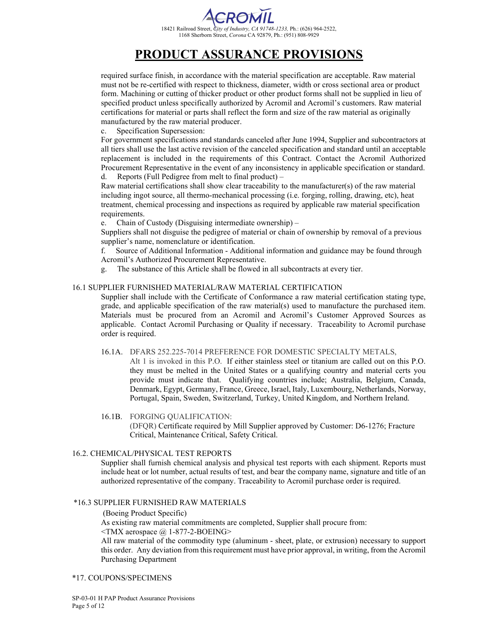# 18421 Railroad Street, *City of Industry, CA 91748-1233,* Ph.: (626) 964-2522, 1168 Sherborn Street, *Corona* CA 92879, Ph.: (951) 808-9929

# **PRODUCT ASSURANCE PROVISIONS**

required surface finish, in accordance with the material specification are acceptable. Raw material must not be re-certified with respect to thickness, diameter, width or cross sectional area or product form. Machining or cutting of thicker product or other product forms shall not be supplied in lieu of specified product unless specifically authorized by Acromil and Acromil's customers. Raw material certifications for material or parts shall reflect the form and size of the raw material as originally manufactured by the raw material producer.

### c. Specification Supersession:

For government specifications and standards canceled after June 1994, Supplier and subcontractors at all tiers shall use the last active revision of the canceled specification and standard until an acceptable replacement is included in the requirements of this Contract. Contact the Acromil Authorized Procurement Representative in the event of any inconsistency in applicable specification or standard. d. Reports (Full Pedigree from melt to final product) –

Raw material certifications shall show clear traceability to the manufacturer(s) of the raw material including ingot source, all thermo-mechanical processing (i.e. forging, rolling, drawing, etc), heat treatment, chemical processing and inspections as required by applicable raw material specification requirements.

e. Chain of Custody (Disguising intermediate ownership) –

Suppliers shall not disguise the pedigree of material or chain of ownership by removal of a previous supplier's name, nomenclature or identification.

f. Source of Additional Information - Additional information and guidance may be found through Acromil's Authorized Procurement Representative.

g. The substance of this Article shall be flowed in all subcontracts at every tier.

### 16.1 SUPPLIER FURNISHED MATERIAL/RAW MATERIAL CERTIFICATION

Supplier shall include with the Certificate of Conformance a raw material certification stating type, grade, and applicable specification of the raw material(s) used to manufacture the purchased item. Materials must be procured from an Acromil and Acromil's Customer Approved Sources as applicable. Contact Acromil Purchasing or Quality if necessary. Traceability to Acromil purchase order is required.

### 16.1A. DFARS 252.225-7014 PREFERENCE FOR DOMESTIC SPECIALTY METALS,

Alt 1 is invoked in this P.O. If either stainless steel or titanium are called out on this P.O. they must be melted in the United States or a qualifying country and material certs you provide must indicate that. Qualifying countries include; Australia, Belgium, Canada, Denmark, Egypt, Germany, France, Greece, Israel, Italy, Luxembourg, Netherlands, Norway, Portugal, Spain, Sweden, Switzerland, Turkey, United Kingdom, and Northern Ireland.

## 16.1B. FORGING QUALIFICATION:

(DFQR) Certificate required by Mill Supplier approved by Customer: D6-1276; Fracture Critical, Maintenance Critical, Safety Critical.

## 16.2. CHEMICAL/PHYSICAL TEST REPORTS

Supplier shall furnish chemical analysis and physical test reports with each shipment. Reports must include heat or lot number, actual results of test, and bear the company name, signature and title of an authorized representative of the company. Traceability to Acromil purchase order is required.

### \*16.3 SUPPLIER FURNISHED RAW MATERIALS

(Boeing Product Specific)

As existing raw material commitments are completed, Supplier shall procure from:

 $\langle$ TMX aerospace  $\langle \hat{\omega} \rangle$  1-877-2-BOEING>

All raw material of the commodity type (aluminum - sheet, plate, or extrusion) necessary to support this order. Any deviation from this requirement must have prior approval, in writing, from the Acromil Purchasing Department

### \*17. COUPONS/SPECIMENS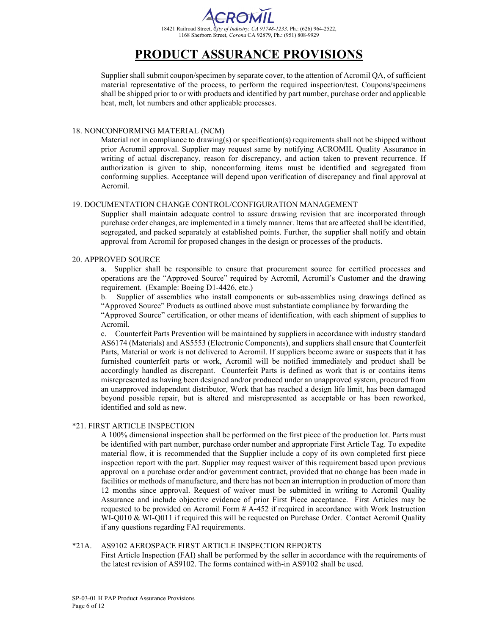

Supplier shall submit coupon/specimen by separate cover, to the attention of Acromil QA, of sufficient material representative of the process, to perform the required inspection/test. Coupons/specimens shall be shipped prior to or with products and identified by part number, purchase order and applicable heat, melt, lot numbers and other applicable processes.

### 18. NONCONFORMING MATERIAL (NCM)

Material not in compliance to drawing(s) or specification(s) requirements shall not be shipped without prior Acromil approval. Supplier may request same by notifying ACROMIL Quality Assurance in writing of actual discrepancy, reason for discrepancy, and action taken to prevent recurrence. If authorization is given to ship, nonconforming items must be identified and segregated from conforming supplies. Acceptance will depend upon verification of discrepancy and final approval at Acromil.

### 19. DOCUMENTATION CHANGE CONTROL/CONFIGURATION MANAGEMENT

Supplier shall maintain adequate control to assure drawing revision that are incorporated through purchase order changes, are implemented in a timely manner. Items that are affected shall be identified, segregated, and packed separately at established points. Further, the supplier shall notify and obtain approval from Acromil for proposed changes in the design or processes of the products.

### 20. APPROVED SOURCE

a. Supplier shall be responsible to ensure that procurement source for certified processes and operations are the "Approved Source" required by Acromil, Acromil's Customer and the drawing requirement. (Example: Boeing D1-4426, etc.)

b. Supplier of assemblies who install components or sub-assemblies using drawings defined as "Approved Source" Products as outlined above must substantiate compliance by forwarding the

"Approved Source" certification, or other means of identification, with each shipment of supplies to Acromil.

c. Counterfeit Parts Prevention will be maintained by suppliers in accordance with industry standard AS6174 (Materials) and AS5553 (Electronic Components), and suppliers shall ensure that Counterfeit Parts, Material or work is not delivered to Acromil. If suppliers become aware or suspects that it has furnished counterfeit parts or work, Acromil will be notified immediately and product shall be accordingly handled as discrepant. Counterfeit Parts is defined as work that is or contains items misrepresented as having been designed and/or produced under an unapproved system, procured from an unapproved independent distributor, Work that has reached a design life limit, has been damaged beyond possible repair, but is altered and misrepresented as acceptable or has been reworked, identified and sold as new.

## \*21. FIRST ARTICLE INSPECTION

A 100% dimensional inspection shall be performed on the first piece of the production lot. Parts must be identified with part number, purchase order number and appropriate First Article Tag. To expedite material flow, it is recommended that the Supplier include a copy of its own completed first piece inspection report with the part. Supplier may request waiver of this requirement based upon previous approval on a purchase order and/or government contract, provided that no change has been made in facilities or methods of manufacture, and there has not been an interruption in production of more than 12 months since approval. Request of waiver must be submitted in writing to Acromil Quality Assurance and include objective evidence of prior First Piece acceptance. First Articles may be requested to be provided on Acromil Form # A-452 if required in accordance with Work Instruction WI-Q010 & WI-Q011 if required this will be requested on Purchase Order. Contact Acromil Quality if any questions regarding FAI requirements.

### \*21A. AS9102 AEROSPACE FIRST ARTICLE INSPECTION REPORTS

First Article Inspection (FAI) shall be performed by the seller in accordance with the requirements of the latest revision of AS9102. The forms contained with-in AS9102 shall be used.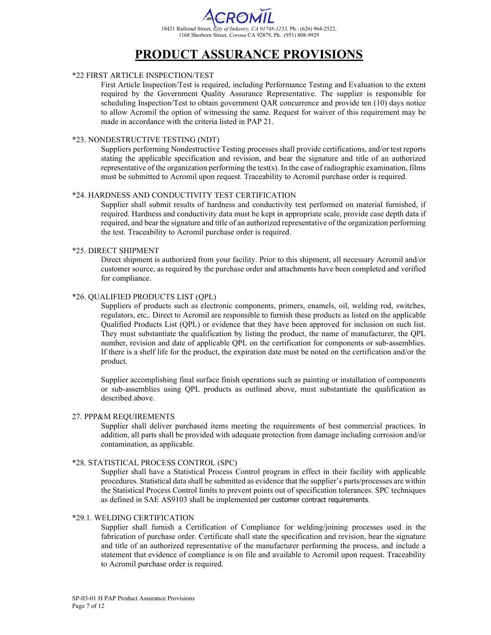

## \*22 FIRST ARTICLE INSPECTION/TEST

First Article Inspection/Test is required, including Performance Testing and Evaluation to the extent required by the Government Quality Assurance Representative. The supplier is responsible for scheduling Inspection/Test to obtain government QAR concurrence and provide ten (10) days notice to allow Acromil the option of witnessing the same. Request for waiver of this requirement may be made in accordance with the criteria listed in PAP 21.

### \*23. NONDESTRUCTIVE TESTING (NDT)

Suppliers performing Nondestructive Testing processes shall provide certifications, and/or test reports stating the applicable specification and revision, and bear the signature and title of an authorized representative of the organization performing the test(s). In the case of radiographic examination, films must be submitted to Acromil upon request. Traceability to Acromil purchase order is required.

### \*24. HARDNESS AND CONDUCTIVITY TEST CERTIFICATION

Supplier shall submit results of hardness and conductivity test performed on material furnished, if required. Hardness and conductivity data must be kept in appropriate scale, provide case depth data if required, and bear the signature and title of an authorized representative of the organization performing the test. Traceability to Acromil purchase order is required.

### \*25. DIRECT SHIPMENT

Direct shipment is authorized from your facility. Prior to this shipment, all necessary Acromil and/or customer source, as required by the purchase order and attachments have been completed and verified for compliance.

### \*26. QUALIFIED PRODUCTS LIST (QPL)

Suppliers of products such as electronic components, primers, enamels, oil, welding rod, switches, regulators, etc,. Direct to Acromil are responsible to furnish these products as listed on the applicable Qualified Products List (QPL) or evidence that they have been approved for inclusion on such list. They must substantiate the qualification by listing the product, the name of manufacturer, the QPL number, revision and date of applicable QPL on the certification for components or sub-assemblies. If there is a shelf life for the product, the expiration date must be noted on the certification and/or the product.

Supplier accomplishing final surface finish operations such as painting or installation of components or sub-assemblies using QPL products as outlined above, must substantiate the qualification as described above.

#### 27. PPP&M REQUIREMENTS

Supplier shall deliver purchased items meeting the requirements of best commercial practices. In addition, all parts shall be provided with adequate protection from damage including corrosion and/or contamination, as applicable.

#### \*28. STATISTICAL PROCESS CONTROL (SPC)

Supplier shall have a Statistical Process Control program in effect in their facility with applicable procedures. Statistical data shall be submitted as evidence that the supplier's parts/processes are within the Statistical Process Control limits to prevent points out of specification tolerances. SPC techniques as defined in SAE AS9103 shall be implemented per customer contract requirements.

### \*29.1. WELDING CERTIFICATION

Supplier shall furnish a Certification of Compliance for welding/joining processes used in the fabrication of purchase order. Certificate shall state the specification and revision, bear the signature and title of an authorized representative of the manufacturer performing the process, and include a statement that evidence of compliance is on file and available to Acromil upon request. Traceability to Acromil purchase order is required.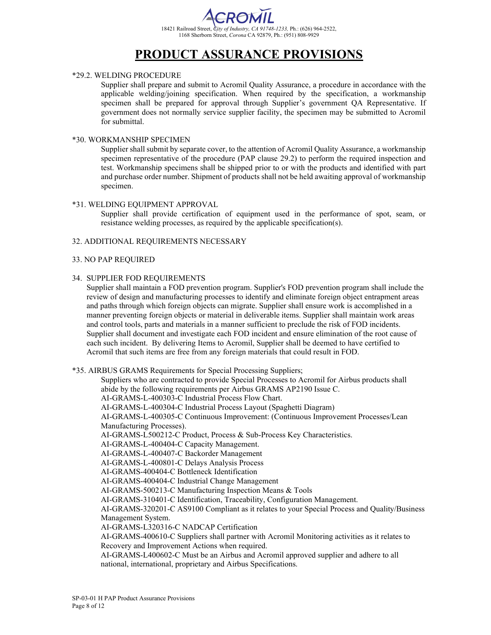

## \*29.2. WELDING PROCEDURE

Supplier shall prepare and submit to Acromil Quality Assurance, a procedure in accordance with the applicable welding/joining specification. When required by the specification, a workmanship specimen shall be prepared for approval through Supplier's government QA Representative. If government does not normally service supplier facility, the specimen may be submitted to Acromil for submittal.

#### \*30. WORKMANSHIP SPECIMEN

Supplier shall submit by separate cover, to the attention of Acromil Quality Assurance, a workmanship specimen representative of the procedure (PAP clause 29.2) to perform the required inspection and test. Workmanship specimens shall be shipped prior to or with the products and identified with part and purchase order number. Shipment of products shall not be held awaiting approval of workmanship specimen.

#### \*31. WELDING EQUIPMENT APPROVAL

Supplier shall provide certification of equipment used in the performance of spot, seam, or resistance welding processes, as required by the applicable specification(s).

#### 32. ADDITIONAL REQUIREMENTS NECESSARY

#### 33. NO PAP REQUIRED

#### 34. SUPPLIER FOD REQUIREMENTS

Supplier shall maintain a FOD prevention program. Supplier's FOD prevention program shall include the review of design and manufacturing processes to identify and eliminate foreign object entrapment areas and paths through which foreign objects can migrate. Supplier shall ensure work is accomplished in a manner preventing foreign objects or material in deliverable items. Supplier shall maintain work areas and control tools, parts and materials in a manner sufficient to preclude the risk of FOD incidents. Supplier shall document and investigate each FOD incident and ensure elimination of the root cause of each such incident. By delivering Items to Acromil, Supplier shall be deemed to have certified to Acromil that such items are free from any foreign materials that could result in FOD.

\*35. AIRBUS GRAMS Requirements for Special Processing Suppliers;

Suppliers who are contracted to provide Special Processes to Acromil for Airbus products shall abide by the following requirements per Airbus GRAMS AP2190 Issue C. AI-GRAMS-L-400303-C Industrial Process Flow Chart. AI-GRAMS-L-400304-C Industrial Process Layout (Spaghetti Diagram) AI-GRAMS-L-400305-C Continuous Improvement: (Continuous Improvement Processes/Lean Manufacturing Processes). AI-GRAMS-L500212-C Product, Process & Sub-Process Key Characteristics. AI-GRAMS-L-400404-C Capacity Management. AI-GRAMS-L-400407-C Backorder Management AI-GRAMS-L-400801-C Delays Analysis Process AI-GRAMS-400404-C Bottleneck Identification AI-GRAMS-400404-C Industrial Change Management AI-GRAMS-500213-C Manufacturing Inspection Means & Tools AI-GRAMS-310401-C Identification, Traceability, Configuration Management. AI-GRAMS-320201-C AS9100 Compliant as it relates to your Special Process and Quality/Business Management System. AI-GRAMS-L320316-C NADCAP Certification AI-GRAMS-400610-C Suppliers shall partner with Acromil Monitoring activities as it relates to Recovery and Improvement Actions when required. AI-GRAMS-L400602-C Must be an Airbus and Acromil approved supplier and adhere to all national, international, proprietary and Airbus Specifications.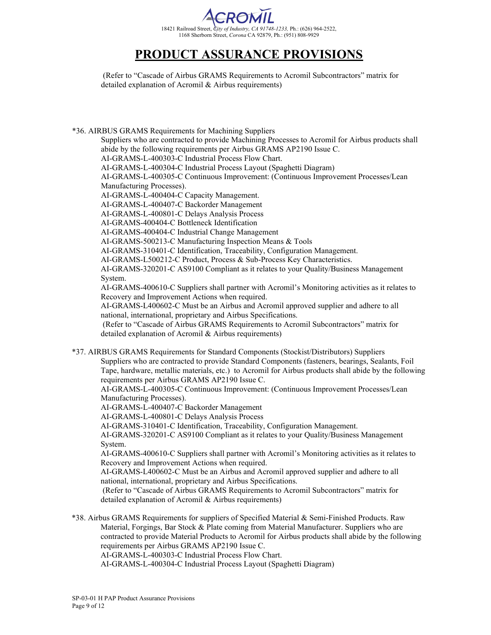

(Refer to "Cascade of Airbus GRAMS Requirements to Acromil Subcontractors" matrix for detailed explanation of Acromil & Airbus requirements)

\*36. AIRBUS GRAMS Requirements for Machining Suppliers Suppliers who are contracted to provide Machining Processes to Acromil for Airbus products shall abide by the following requirements per Airbus GRAMS AP2190 Issue C. AI-GRAMS-L-400303-C Industrial Process Flow Chart. AI-GRAMS-L-400304-C Industrial Process Layout (Spaghetti Diagram) AI-GRAMS-L-400305-C Continuous Improvement: (Continuous Improvement Processes/Lean Manufacturing Processes). AI-GRAMS-L-400404-C Capacity Management. AI-GRAMS-L-400407-C Backorder Management AI-GRAMS-L-400801-C Delays Analysis Process AI-GRAMS-400404-C Bottleneck Identification AI-GRAMS-400404-C Industrial Change Management AI-GRAMS-500213-C Manufacturing Inspection Means & Tools AI-GRAMS-310401-C Identification, Traceability, Configuration Management. AI-GRAMS-L500212-C Product, Process & Sub-Process Key Characteristics. AI-GRAMS-320201-C AS9100 Compliant as it relates to your Quality/Business Management System. AI-GRAMS-400610-C Suppliers shall partner with Acromil's Monitoring activities as it relates to Recovery and Improvement Actions when required. AI-GRAMS-L400602-C Must be an Airbus and Acromil approved supplier and adhere to all national, international, proprietary and Airbus Specifications. (Refer to "Cascade of Airbus GRAMS Requirements to Acromil Subcontractors" matrix for detailed explanation of Acromil & Airbus requirements) \*37. AIRBUS GRAMS Requirements for Standard Components (Stockist/Distributors) Suppliers Suppliers who are contracted to provide Standard Components (fasteners, bearings, Sealants, Foil Tape, hardware, metallic materials, etc.) to Acromil for Airbus products shall abide by the following requirements per Airbus GRAMS AP2190 Issue C. AI-GRAMS-L-400305-C Continuous Improvement: (Continuous Improvement Processes/Lean Manufacturing Processes). AI-GRAMS-L-400407-C Backorder Management AI-GRAMS-L-400801-C Delays Analysis Process AI-GRAMS-310401-C Identification, Traceability, Configuration Management. AI-GRAMS-320201-C AS9100 Compliant as it relates to your Quality/Business Management System. AI-GRAMS-400610-C Suppliers shall partner with Acromil's Monitoring activities as it relates to Recovery and Improvement Actions when required. AI-GRAMS-L400602-C Must be an Airbus and Acromil approved supplier and adhere to all national, international, proprietary and Airbus Specifications. (Refer to "Cascade of Airbus GRAMS Requirements to Acromil Subcontractors" matrix for detailed explanation of Acromil & Airbus requirements) \*38. Airbus GRAMS Requirements for suppliers of Specified Material & Semi-Finished Products. Raw Material, Forgings, Bar Stock & Plate coming from Material Manufacturer. Suppliers who are contracted to provide Material Products to Acromil for Airbus products shall abide by the following requirements per Airbus GRAMS AP2190 Issue C.

AI-GRAMS-L-400303-C Industrial Process Flow Chart.

AI-GRAMS-L-400304-C Industrial Process Layout (Spaghetti Diagram)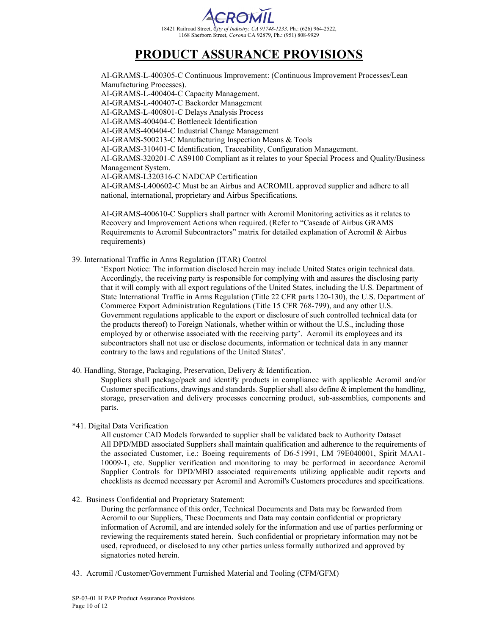

AI-GRAMS-L-400305-C Continuous Improvement: (Continuous Improvement Processes/Lean Manufacturing Processes). AI-GRAMS-L-400404-C Capacity Management. AI-GRAMS-L-400407-C Backorder Management AI-GRAMS-L-400801-C Delays Analysis Process AI-GRAMS-400404-C Bottleneck Identification AI-GRAMS-400404-C Industrial Change Management AI-GRAMS-500213-C Manufacturing Inspection Means & Tools AI-GRAMS-310401-C Identification, Traceability, Configuration Management. AI-GRAMS-320201-C AS9100 Compliant as it relates to your Special Process and Quality/Business Management System. AI-GRAMS-L320316-C NADCAP Certification AI-GRAMS-L400602-C Must be an Airbus and ACROMIL approved supplier and adhere to all national, international, proprietary and Airbus Specifications.

AI-GRAMS-400610-C Suppliers shall partner with Acromil Monitoring activities as it relates to Recovery and Improvement Actions when required. (Refer to "Cascade of Airbus GRAMS Requirements to Acromil Subcontractors" matrix for detailed explanation of Acromil & Airbus requirements)

39. International Traffic in Arms Regulation (ITAR) Control

'Export Notice: The information disclosed herein may include United States origin technical data. Accordingly, the receiving party is responsible for complying with and assures the disclosing party that it will comply with all export regulations of the United States, including the U.S. Department of State International Traffic in Arms Regulation (Title 22 CFR parts 120-130), the U.S. Department of Commerce Export Administration Regulations (Title 15 CFR 768-799), and any other U.S. Government regulations applicable to the export or disclosure of such controlled technical data (or the products thereof) to Foreign Nationals, whether within or without the U.S., including those employed by or otherwise associated with the receiving party'. Acromil its employees and its subcontractors shall not use or disclose documents, information or technical data in any manner contrary to the laws and regulations of the United States'.

40. Handling, Storage, Packaging, Preservation, Delivery & Identification.

Suppliers shall package/pack and identify products in compliance with applicable Acromil and/or Customer specifications, drawings and standards. Supplier shall also define  $\&$  implement the handling, storage, preservation and delivery processes concerning product, sub-assemblies, components and parts.

### \*41. Digital Data Verification

All customer CAD Models forwarded to supplier shall be validated back to Authority Dataset All DPD/MBD associated Suppliers shall maintain qualification and adherence to the requirements of the associated Customer, i.e.: Boeing requirements of D6-51991, LM 79E040001, Spirit MAA1- 10009-1, etc. Supplier verification and monitoring to may be performed in accordance Acromil Supplier Controls for DPD/MBD associated requirements utilizing applicable audit reports and checklists as deemed necessary per Acromil and Acromil's Customers procedures and specifications.

42. Business Confidential and Proprietary Statement:

During the performance of this order, Technical Documents and Data may be forwarded from Acromil to our Suppliers, These Documents and Data may contain confidential or proprietary information of Acromil, and are intended solely for the information and use of parties performing or reviewing the requirements stated herein. Such confidential or proprietary information may not be used, reproduced, or disclosed to any other parties unless formally authorized and approved by signatories noted herein.

43. Acromil /Customer/Government Furnished Material and Tooling (CFM/GFM)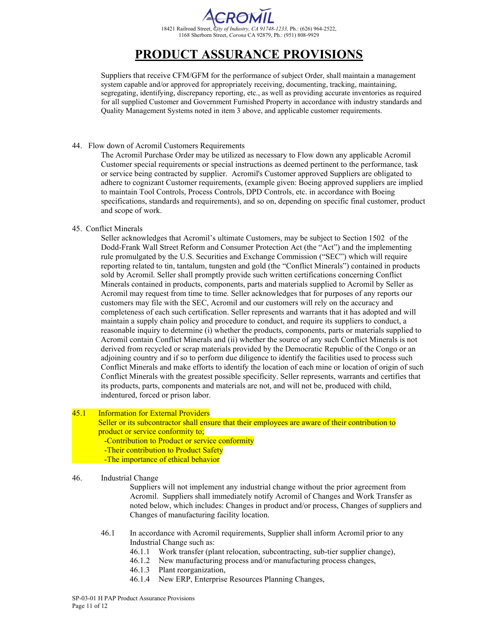

Suppliers that receive CFM/GFM for the performance of subject Order, shall maintain a management system capable and/or approved for appropriately receiving, documenting, tracking, maintaining, segregating, identifying, discrepancy reporting, etc., as well as providing accurate inventories as required for all supplied Customer and Government Furnished Property in accordance with industry standards and Quality Management Systems noted in item 3 above, and applicable customer requirements.

### 44. Flow down of Acromil Customers Requirements

The Acromil Purchase Order may be utilized as necessary to Flow down any applicable Acromil Customer special requirements or special instructions as deemed pertinent to the performance, task or service being contracted by supplier. Acromil's Customer approved Suppliers are obligated to adhere to cognizant Customer requirements, (example given: Boeing approved suppliers are implied to maintain Tool Controls, Process Controls, DPD Controls, etc. in accordance with Boeing specifications, standards and requirements), and so on, depending on specific final customer, product and scope of work.

### 45. Conflict Minerals

Seller acknowledges that Acromil's ultimate Customers, may be subject to Section 1502 of the Dodd-Frank Wall Street Reform and Consumer Protection Act (the "Act") and the implementing rule promulgated by the U.S. Securities and Exchange Commission ("SEC") which will require reporting related to tin, tantalum, tungsten and gold (the "Conflict Minerals") contained in products sold by Acromil. Seller shall promptly provide such written certifications concerning Conflict Minerals contained in products, components, parts and materials supplied to Acromil by Seller as Acromil may request from time to time. Seller acknowledges that for purposes of any reports our customers may file with the SEC, Acromil and our customers will rely on the accuracy and completeness of each such certification. Seller represents and warrants that it has adopted and will maintain a supply chain policy and procedure to conduct, and require its suppliers to conduct, a reasonable inquiry to determine (i) whether the products, components, parts or materials supplied to Acromil contain Conflict Minerals and (ii) whether the source of any such Conflict Minerals is not derived from recycled or scrap materials provided by the Democratic Republic of the Congo or an adjoining country and if so to perform due diligence to identify the facilities used to process such Conflict Minerals and make efforts to identify the location of each mine or location of origin of such Conflict Minerals with the greatest possible specificity. Seller represents, warrants and certifies that its products, parts, components and materials are not, and will not be, produced with child, indentured, forced or prison labor.

### 45.1 Information for External Providers

 Seller or its subcontractor shall ensure that their employees are aware of their contribution to product or service conformity to;

-Contribution to Product or service conformity

- -Their contribution to Product Safety
- -The importance of ethical behavior

### 46. Industrial Change

Suppliers will not implement any industrial change without the prior agreement from Acromil. Suppliers shall immediately notify Acromil of Changes and Work Transfer as noted below, which includes: Changes in product and/or process, Changes of suppliers and Changes of manufacturing facility location.

- 46.1 In accordance with Acromil requirements, Supplier shall inform Acromil prior to any Industrial Change such as:
	- 46.1.1 Work transfer (plant relocation, subcontracting, sub-tier supplier change),
	- 46.1.2 New manufacturing process and/or manufacturing process changes,
	- 46.1.3 Plant reorganization,
	- 46.1.4 New ERP, Enterprise Resources Planning Changes,